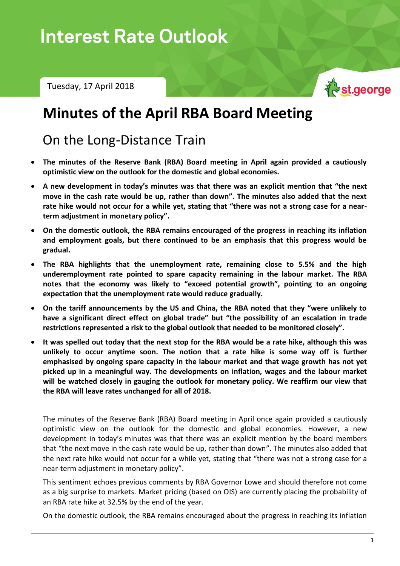Tuesday, 17 April 2018



# **Minutes of the April RBA Board Meeting**

# On the Long-Distance Train

- **The minutes of the Reserve Bank (RBA) Board meeting in April again provided a cautiously optimistic view on the outlook for the domestic and global economies.**
- **A new development in today's minutes was that there was an explicit mention that "the next move in the cash rate would be up, rather than down". The minutes also added that the next rate hike would not occur for a while yet, stating that "there was not a strong case for a nearterm adjustment in monetary policy".**
- **On the domestic outlook, the RBA remains encouraged of the progress in reaching its inflation and employment goals, but there continued to be an emphasis that this progress would be gradual.**
- **The RBA highlights that the unemployment rate, remaining close to 5.5% and the high underemployment rate pointed to spare capacity remaining in the labour market. The RBA notes that the economy was likely to "exceed potential growth", pointing to an ongoing expectation that the unemployment rate would reduce gradually.**
- **On the tariff announcements by the US and China, the RBA noted that they "were unlikely to have a significant direct effect on global trade" but "the possibility of an escalation in trade restrictions represented a risk to the global outlook that needed to be monitored closely".**
- **It was spelled out today that the next stop for the RBA would be a rate hike, although this was unlikely to occur anytime soon. The notion that a rate hike is some way off is further emphasised by ongoing spare capacity in the labour market and that wage growth has not yet picked up in a meaningful way. The developments on inflation, wages and the labour market will be watched closely in gauging the outlook for monetary policy. We reaffirm our view that the RBA will leave rates unchanged for all of 2018.**

The minutes of the Reserve Bank (RBA) Board meeting in April once again provided a cautiously optimistic view on the outlook for the domestic and global economies. However, a new development in today's minutes was that there was an explicit mention by the board members that "the next move in the cash rate would be up, rather than down". The minutes also added that the next rate hike would not occur for a while yet, stating that "there was not a strong case for a near-term adjustment in monetary policy".

This sentiment echoes previous comments by RBA Governor Lowe and should therefore not come as a big surprise to markets. Market pricing (based on OIS) are currently placing the probability of an RBA rate hike at 32.5% by the end of the year.

On the domestic outlook, the RBA remains encouraged about the progress in reaching its inflation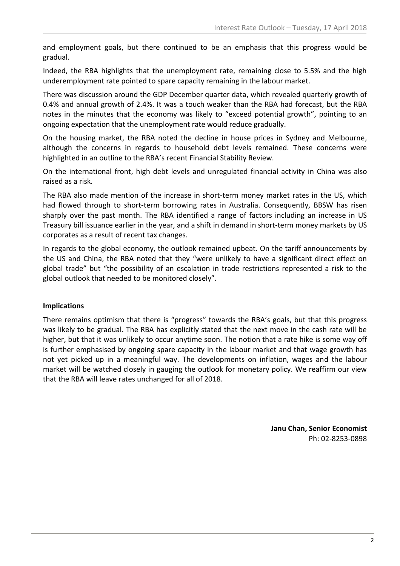and employment goals, but there continued to be an emphasis that this progress would be gradual.

Indeed, the RBA highlights that the unemployment rate, remaining close to 5.5% and the high underemployment rate pointed to spare capacity remaining in the labour market.

There was discussion around the GDP December quarter data, which revealed quarterly growth of 0.4% and annual growth of 2.4%. It was a touch weaker than the RBA had forecast, but the RBA notes in the minutes that the economy was likely to "exceed potential growth", pointing to an ongoing expectation that the unemployment rate would reduce gradually.

On the housing market, the RBA noted the decline in house prices in Sydney and Melbourne, although the concerns in regards to household debt levels remained. These concerns were highlighted in an outline to the RBA's recent Financial Stability Review.

On the international front, high debt levels and unregulated financial activity in China was also raised as a risk.

The RBA also made mention of the increase in short-term money market rates in the US, which had flowed through to short-term borrowing rates in Australia. Consequently, BBSW has risen sharply over the past month. The RBA identified a range of factors including an increase in US Treasury bill issuance earlier in the year, and a shift in demand in short-term money markets by US corporates as a result of recent tax changes.

In regards to the global economy, the outlook remained upbeat. On the tariff announcements by the US and China, the RBA noted that they "were unlikely to have a significant direct effect on global trade" but "the possibility of an escalation in trade restrictions represented a risk to the global outlook that needed to be monitored closely".

## **Implications**

There remains optimism that there is "progress" towards the RBA's goals, but that this progress was likely to be gradual. The RBA has explicitly stated that the next move in the cash rate will be higher, but that it was unlikely to occur anytime soon. The notion that a rate hike is some way off is further emphasised by ongoing spare capacity in the labour market and that wage growth has not yet picked up in a meaningful way. The developments on inflation, wages and the labour market will be watched closely in gauging the outlook for monetary policy. We reaffirm our view that the RBA will leave rates unchanged for all of 2018.

> **Janu Chan, Senior Economist** Ph: 02-8253-0898